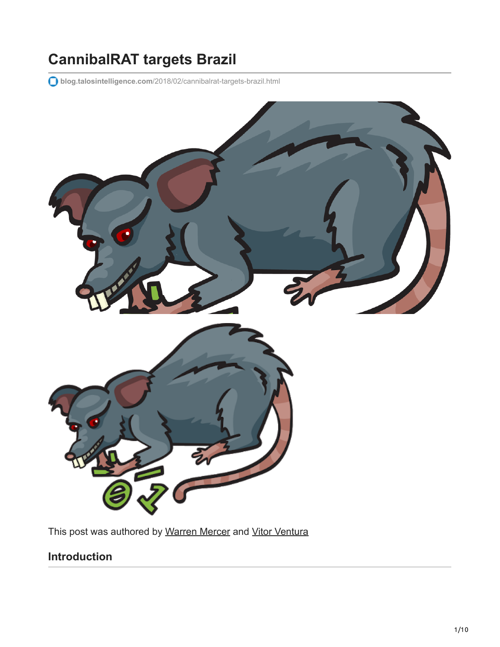# **CannibalRAT targets Brazil**

**blog.talosintelligence.com**[/2018/02/cannibalrat-targets-brazil.html](http://blog.talosintelligence.com/2018/02/cannibalrat-targets-brazil.html)



This post was authored by [Warren Mercer](https://twitter.com/securitybeard) and [Vitor Ventura](https://twitter.com/_vventura)

### **Introduction**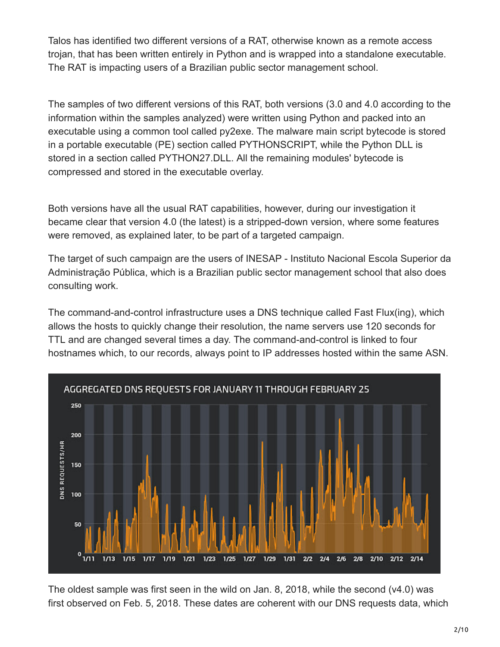Talos has identified two different versions of a RAT, otherwise known as a remote access trojan, that has been written entirely in Python and is wrapped into a standalone executable. The RAT is impacting users of a Brazilian public sector management school.

The samples of two different versions of this RAT, both versions (3.0 and 4.0 according to the information within the samples analyzed) were written using Python and packed into an executable using a common tool called py2exe. The malware main script bytecode is stored in a portable executable (PE) section called PYTHONSCRIPT, while the Python DLL is stored in a section called PYTHON27.DLL. All the remaining modules' bytecode is compressed and stored in the executable overlay.

Both versions have all the usual RAT capabilities, however, during our investigation it became clear that version 4.0 (the latest) is a stripped-down version, where some features were removed, as explained later, to be part of a targeted campaign.

The target of such campaign are the users of INESAP - Instituto Nacional Escola Superior da Administração Pública, which is a Brazilian public sector management school that also does consulting work.

The command-and-control infrastructure uses a DNS technique called Fast Flux(ing), which allows the hosts to quickly change their resolution, the name servers use 120 seconds for TTL and are changed several times a day. The command-and-control is linked to four hostnames which, to our records, always point to IP addresses hosted within the same ASN.



The oldest sample was first seen in the wild on Jan. 8, 2018, while the second (v4.0) was first observed on Feb. 5, 2018. These dates are coherent with our DNS requests data, which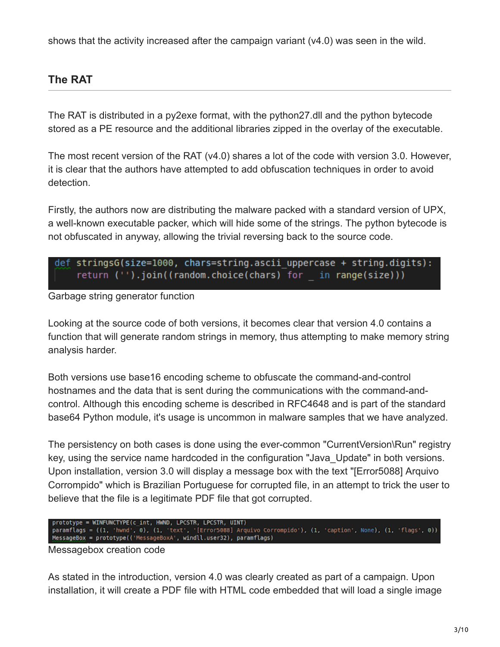shows that the activity increased after the campaign variant (v4.0) was seen in the wild.

### **The RAT**

The RAT is distributed in a py2exe format, with the python27.dll and the python bytecode stored as a PE resource and the additional libraries zipped in the overlay of the executable.

The most recent version of the RAT (v4.0) shares a lot of the code with version 3.0. However, it is clear that the authors have attempted to add obfuscation techniques in order to avoid detection.

Firstly, the authors now are distributing the malware packed with a standard version of UPX, a well-known executable packer, which will hide some of the strings. The python bytecode is not obfuscated in anyway, allowing the trivial reversing back to the source code.

| def stringsG(size=1000, chars=string.ascii uppercase + string.digits): |                                                                |  |
|------------------------------------------------------------------------|----------------------------------------------------------------|--|
|                                                                        | return $('')$ .join((random.choice(chars) for in range(size))) |  |

#### Garbage string generator function

Looking at the source code of both versions, it becomes clear that version 4.0 contains a function that will generate random strings in memory, thus attempting to make memory string analysis harder.

Both versions use base16 encoding scheme to obfuscate the command-and-control hostnames and the data that is sent during the communications with the command-andcontrol. Although this encoding scheme is described in RFC4648 and is part of the standard base64 Python module, it's usage is uncommon in malware samples that we have analyzed.

The persistency on both cases is done using the ever-common "CurrentVersion\Run" registry key, using the service name hardcoded in the configuration "Java\_Update" in both versions. Upon installation, version 3.0 will display a message box with the text "[Error5088] Arquivo Corrompido" which is Brazilian Portuguese for corrupted file, in an attempt to trick the user to believe that the file is a legitimate PDF file that got corrupted.

prototype = WINFUNCTYPE(c\_int, HWND, LPCSTR, LPCSTR, UINT)<br>paramflags = ((1, 'hwnd', 0), (1, 'text', '[Error5088] Arquivo Corrompido'), (1, 'caption', None), (1, 'flags', 0))<br><u>MessageBox</u> = prototype(('MessageBoxA', windll

Messagebox creation code

As stated in the introduction, version 4.0 was clearly created as part of a campaign. Upon installation, it will create a PDF file with HTML code embedded that will load a single image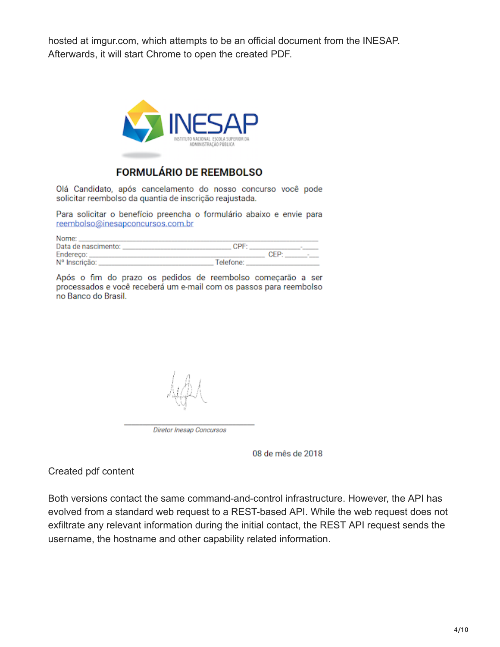hosted at imgur.com, which attempts to be an official document from the INESAP. Afterwards, it will start Chrome to open the created PDF.



### FORMULÁRIO DE REEMBOLSO

Olá Candidato, após cancelamento do nosso concurso você pode solicitar reembolso da quantia de inscrição reajustada.

Para solicitar o benefício preencha o formulário abaixo e envie para reembolso@inesapconcursos.com.br

| Nome:               |                  |        |
|---------------------|------------------|--------|
| Data de nascimento: | CPF:             | ۰      |
| Endereco:           | CEP <sup>.</sup> | $\sim$ |
| Nº Inscrição:       | Telefone:        |        |

Após o fim do prazo os pedidos de reembolso começarão a ser processados e você receberá um e-mail com os passos para reembolso no Banco do Brasil.

Diretor Inesap Concursos

08 de mês de 2018

#### Created pdf content

Both versions contact the same command-and-control infrastructure. However, the API has evolved from a standard web request to a REST-based API. While the web request does not exfiltrate any relevant information during the initial contact, the REST API request sends the username, the hostname and other capability related information.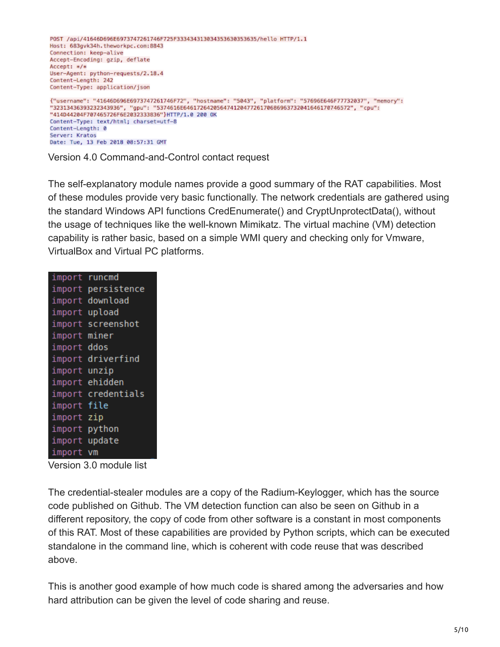

Version 4.0 Command-and-Control contact request

The self-explanatory module names provide a good summary of the RAT capabilities. Most of these modules provide very basic functionally. The network credentials are gathered using the standard Windows API functions CredEnumerate() and CryptUnprotectData(), without the usage of techniques like the well-known Mimikatz. The virtual machine (VM) detection capability is rather basic, based on a simple WMI query and checking only for Vmware, VirtualBox and Virtual PC platforms.

| import | runcmd      |
|--------|-------------|
| import | persistence |
| import | download    |
| import | upload      |
| import | screenshot  |
| import | miner       |
| import | ddos        |
| import | driverfind  |
| import | unzip       |
| import | ehidden     |
| import | credentials |
| import | file        |
| import | zip         |
| import | python      |
| import | update      |
| import | VM          |

Version 3.0 module list

The credential-stealer modules are a copy of the Radium-Keylogger, which has the source code published on Github. The VM detection function can also be seen on Github in a different repository, the copy of code from other software is a constant in most components of this RAT. Most of these capabilities are provided by Python scripts, which can be executed standalone in the command line, which is coherent with code reuse that was described above.

This is another good example of how much code is shared among the adversaries and how hard attribution can be given the level of code sharing and reuse.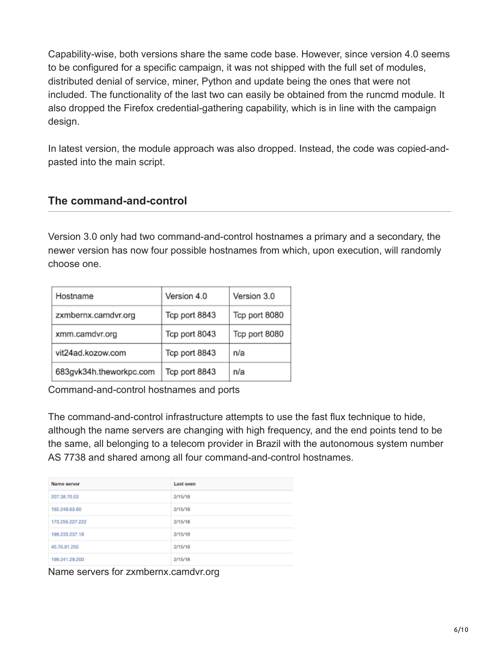Capability-wise, both versions share the same code base. However, since version 4.0 seems to be configured for a specific campaign, it was not shipped with the full set of modules, distributed denial of service, miner, Python and update being the ones that were not included. The functionality of the last two can easily be obtained from the runcmd module. It also dropped the Firefox credential-gathering capability, which is in line with the campaign design.

In latest version, the module approach was also dropped. Instead, the code was copied-andpasted into the main script.

### **The command-and-control**

Version 3.0 only had two command-and-control hostnames a primary and a secondary, the newer version has now four possible hostnames from which, upon execution, will randomly choose one.

| Version 4.0   | Version 3.0   |
|---------------|---------------|
| Tcp port 8843 | Tcp port 8080 |
| Tcp port 8043 | Tcp port 8080 |
| Tcp port 8843 | n/a           |
| Tcp port 8843 | n/a           |
|               |               |

Command-and-control hostnames and ports

The command-and-control infrastructure attempts to use the fast flux technique to hide, although the name servers are changing with high frequency, and the end points tend to be the same, all belonging to a telecom provider in Brazil with the autonomous system number AS 7738 and shared among all four command-and-control hostnames.

| Name server     | Last seen |
|-----------------|-----------|
| 207.38.70.53    | 2/15/18   |
| 192.249.63.60   | 2/15/18   |
| 173.255.227.222 | 2/15/18   |
| 199.233.237.18  | 2/15/18   |
| 45.76.81.250    | 2/15/18   |
| 199.241.29.200  | 2/15/18   |

Name servers for zxmbernx.camdvr.org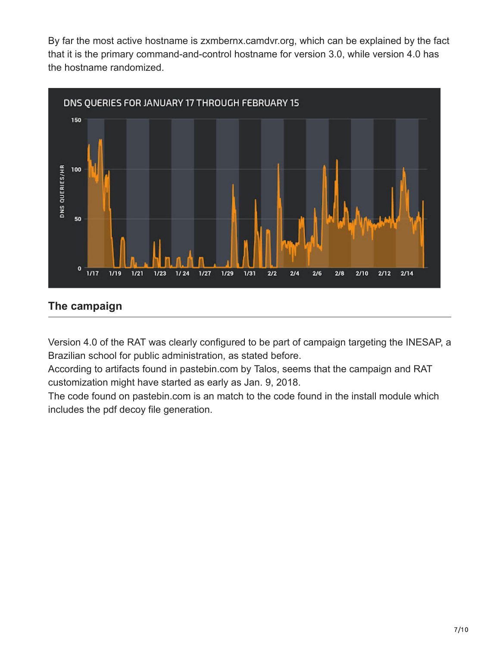By far the most active hostname is zxmbernx.camdvr.org, which can be explained by the fact that it is the primary command-and-control hostname for version 3.0, while version 4.0 has the hostname randomized.



### **The campaign**

Version 4.0 of the RAT was clearly configured to be part of campaign targeting the INESAP, a Brazilian school for public administration, as stated before.

According to artifacts found in pastebin.com by Talos, seems that the campaign and RAT customization might have started as early as Jan. 9, 2018.

The code found on pastebin.com is an match to the code found in the install module which includes the pdf decoy file generation.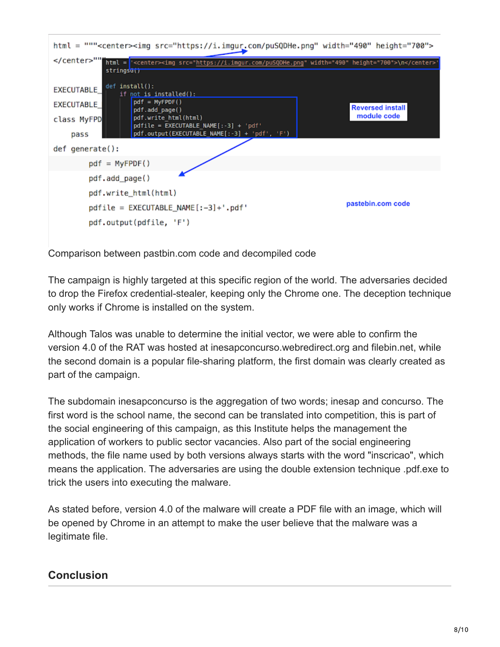

Comparison between pastbin.com code and decompiled code

The campaign is highly targeted at this specific region of the world. The adversaries decided to drop the Firefox credential-stealer, keeping only the Chrome one. The deception technique only works if Chrome is installed on the system.

Although Talos was unable to determine the initial vector, we were able to confirm the version 4.0 of the RAT was hosted at inesapconcurso.webredirect.org and filebin.net, while the second domain is a popular file-sharing platform, the first domain was clearly created as part of the campaign.

The subdomain inesapconcurso is the aggregation of two words; inesap and concurso. The first word is the school name, the second can be translated into competition, this is part of the social engineering of this campaign, as this Institute helps the management the application of workers to public sector vacancies. Also part of the social engineering methods, the file name used by both versions always starts with the word "inscricao", which means the application. The adversaries are using the double extension technique .pdf.exe to trick the users into executing the malware.

As stated before, version 4.0 of the malware will create a PDF file with an image, which will be opened by Chrome in an attempt to make the user believe that the malware was a legitimate file.

### **Conclusion**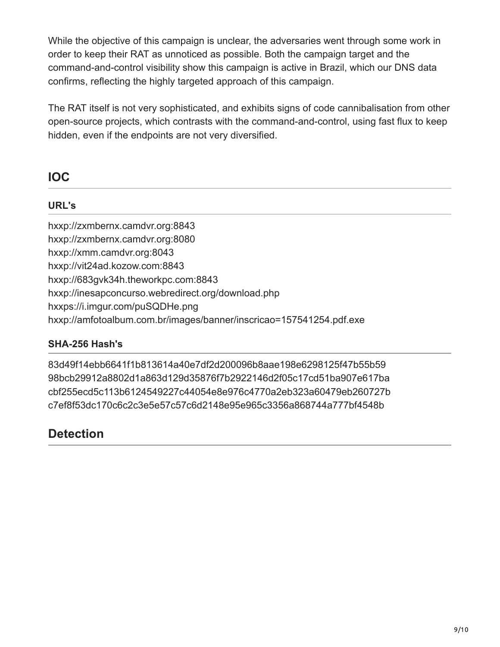While the objective of this campaign is unclear, the adversaries went through some work in order to keep their RAT as unnoticed as possible. Both the campaign target and the command-and-control visibility show this campaign is active in Brazil, which our DNS data confirms, reflecting the highly targeted approach of this campaign.

The RAT itself is not very sophisticated, and exhibits signs of code cannibalisation from other open-source projects, which contrasts with the command-and-control, using fast flux to keep hidden, even if the endpoints are not very diversified.

# **IOC**

### **URL's**

hxxp://zxmbernx.camdvr.org:8843 hxxp://zxmbernx.camdvr.org:8080 hxxp://xmm.camdvr.org:8043 hxxp://vit24ad.kozow.com:8843 hxxp://683gvk34h.theworkpc.com:8843 hxxp://inesapconcurso.webredirect.org/download.php hxxps://i.imgur.com/puSQDHe.png hxxp://amfotoalbum.com.br/images/banner/inscricao=157541254.pdf.exe

### **SHA-256 Hash's**

83d49f14ebb6641f1b813614a40e7df2d200096b8aae198e6298125f47b55b59 98bcb29912a8802d1a863d129d35876f7b2922146d2f05c17cd51ba907e617ba cbf255ecd5c113b6124549227c44054e8e976c4770a2eb323a60479eb260727b c7ef8f53dc170c6c2c3e5e57c57c6d2148e95e965c3356a868744a777bf4548b

## **Detection**